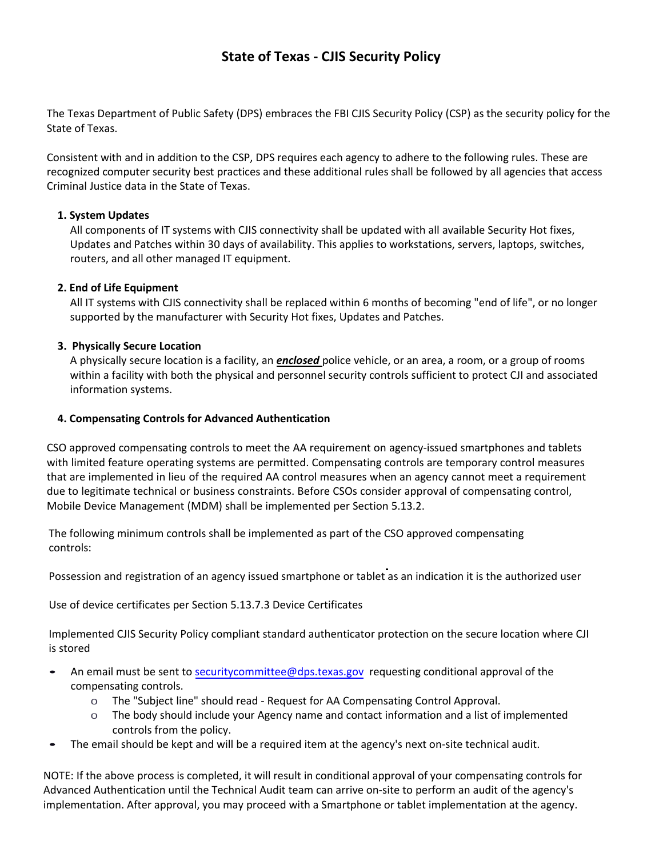# **State of Texas - CJIS Security Policy**

The Texas Department of Public Safety (DPS) embraces the FBI CJIS Security Policy (CSP) as the security policy for the State of Texas.

Consistent with and in addition to the CSP, DPS requires each agency to adhere to the following rules. These are recognized computer security best practices and these additional rules shall be followed by all agencies that access Criminal Justice data in the State of Texas.

## **1. System Updates**

All components of IT systems with CJIS connectivity shall be updated with all available Security Hot fixes, Updates and Patches within 30 days of availability. This applies to workstations, servers, laptops, switches, routers, and all other managed IT equipment.

## **2. End of Life Equipment**

All IT systems with CJIS connectivity shall be replaced within 6 months of becoming "end of life", or no longer supported by the manufacturer with Security Hot fixes, Updates and Patches.

## **3. Physically Secure Location**

A physically secure location is a facility, an *enclosed* police vehicle, or an area, a room, or a group of rooms within a facility with both the physical and personnel security controls sufficient to protect CJI and associated information systems.

#### **4. Compensating Controls for Advanced Authentication**

CSO approved compensating controls to meet the AA requirement on agency-issued smartphones and tablets with limited feature operating systems are permitted. Compensating controls are temporary control measures that are implemented in lieu of the required AA control measures when an agency cannot meet a requirement due to legitimate technical or business constraints. Before CSOs consider approval of compensating control, Mobile Device Management (MDM) shall be implemented per Section 5.13.2.

The following minimum controls shall be implemented as part of the CSO approved compensating controls:

Possession and registration of an agency issued smartphone or tablet as an indication it is the authorized user

Use of device certificates per Section 5.13.7.3 Device Certificates

Implemented CJIS Security Policy compliant standard authenticator protection on the secure location where CJI is stored

- An email must be sent to [securitycommittee@dps.texas.gov](mailto:securitycommittee@dps.texas.gov) requesting conditional approval of the compensating controls.
	- o The "Subject line" should read Request for AA Compensating Control Approval.
	- o The body should include your Agency name and contact information and a list of implemented controls from the policy.
- The email should be kept and will be a required item at the agency's next on-site technical audit.

NOTE: If the above process is completed, it will result in conditional approval of your compensating controls for Advanced Authentication until the Technical Audit team can arrive on-site to perform an audit of the agency's implementation. After approval, you may proceed with a Smartphone or tablet implementation at the agency.